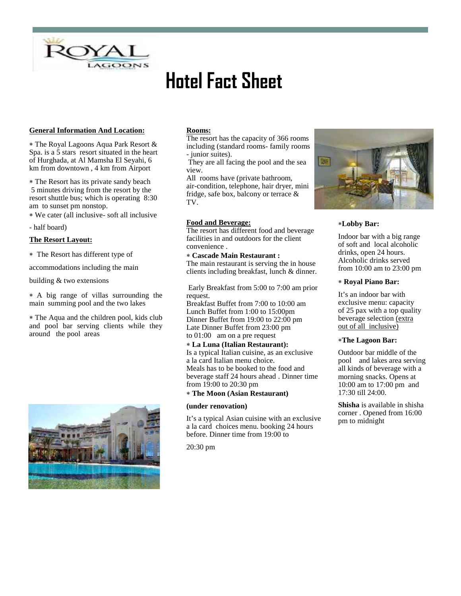

# **Hotel Fact Sheet**

# **General Information And Location:**

 The Royal Lagoons Aqua Park Resort & Spa. is a 5 stars resort situated in the heart of Hurghada, at Al Mamsha El Seyahi, 6 km from downtown , 4 km from Airport

 The Resort has its private sandy beach 5 minutes driving from the resort by the resort shuttle bus; which is operating 8:30 am to sunset pm nonstop.

We cater (all inclusive- soft all inclusive

- half board)

# **The Resort Layout:**

The Resort has different type of

accommodations including the main

building & two extensions

 A big range of villas surrounding the main summing pool and the two lakes

 The Aqua and the children pool, kids club and pool bar serving clients while they around the pool areas



## **Rooms:**

The resort has the capacity of 366 rooms including (standard rooms- family rooms - junior suites).

They are all facing the pool and the sea view.

All rooms have (private bathroom, air-condition, telephone, hair dryer, mini fridge, safe box, balcony or terrace & TV.

# **Food and Beverage:**

The resort has different food and beverage facilities in and outdoors for the client convenience .

## **Cascade Main Restaurant :**

The main restaurant is serving the in house clients including breakfast, lunch & dinner.

Early Breakfast from 5:00 to 7:00 am prior request.

Breakfast Buffet from 7:00 to 10:00 am Lunch Buffet from 1:00 to 15:00pm Dinner Buffet from 19:00 to 22:00 pm Late Dinner Buffet from 23:00 pm to 01:00 am on a pre request

## **La Luna (Italian Restaurant):** Is a typical Italian cuisine, as an exclusive a la card Italian menu choice. Meals has to be booked to the food and beverage staff 24 hours ahead . Dinner time from 19:00 to 20:30 pm

# **The Moon (Asian Restaurant)**

### **(under renovation)**

It's a typical Asian cuisine with an exclusive a la card choices menu. booking 24 hours before. Dinner time from 19:00 to

20:30 pm



# **Lobby Bar:**

Indoor bar with a big range of soft and local alcoholic drinks, open 24 hours. Alcoholic drinks served from 10:00 am to 23:00 pm

## **Royal Piano Bar:**

It's an indoor bar with exclusive menu: capacity of 25 pax with a top quality beverage selection (extra out of all inclusive)

## **The Lagoon Bar:**

Outdoor bar middle of the pool and lakes area serving all kinds of beverage with a morning snacks. Opens at 10:00 am to 17:00 pm and 17:30 till 24:00.

**Shisha** is available in shisha corner . Opened from 16:00 pm to midnight